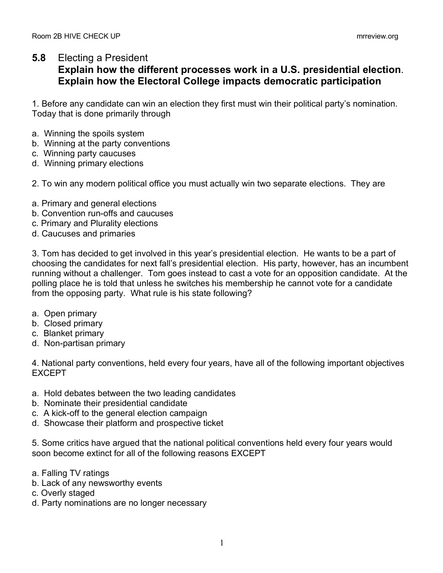## **5.8** Electing a President

## **Explain how the different processes work in a U.S. presidential election**. **Explain how the Electoral College impacts democratic participation**

1. Before any candidate can win an election they first must win their political party's nomination. Today that is done primarily through

- a. Winning the spoils system
- b. Winning at the party conventions
- c. Winning party caucuses
- d. Winning primary elections
- 2. To win any modern political office you must actually win two separate elections. They are
- a. Primary and general elections
- b. Convention run-offs and caucuses
- c. Primary and Plurality elections
- d. Caucuses and primaries

3. Tom has decided to get involved in this year's presidential election. He wants to be a part of choosing the candidates for next fall's presidential election. His party, however, has an incumbent running without a challenger. Tom goes instead to cast a vote for an opposition candidate. At the polling place he is told that unless he switches his membership he cannot vote for a candidate from the opposing party. What rule is his state following?

- a. Open primary
- b. Closed primary
- c. Blanket primary
- d. Non-partisan primary

4. National party conventions, held every four years, have all of the following important objectives EXCEPT

- a. Hold debates between the two leading candidates
- b. Nominate their presidential candidate
- c. A kick-off to the general election campaign
- d. Showcase their platform and prospective ticket

5. Some critics have argued that the national political conventions held every four years would soon become extinct for all of the following reasons EXCEPT

- a. Falling TV ratings
- b. Lack of any newsworthy events
- c. Overly staged
- d. Party nominations are no longer necessary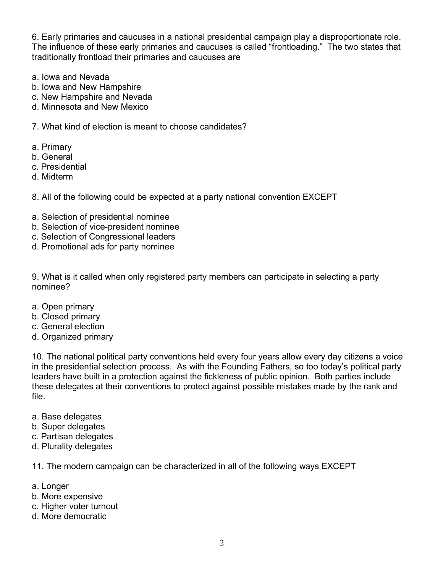6. Early primaries and caucuses in a national presidential campaign play a disproportionate role. The influence of these early primaries and caucuses is called "frontloading." The two states that traditionally frontload their primaries and caucuses are

- a. Iowa and Nevada
- b. Iowa and New Hampshire
- c. New Hampshire and Nevada
- d. Minnesota and New Mexico

7. What kind of election is meant to choose candidates?

- a. Primary
- b. General
- c. Presidential
- d. Midterm

8. All of the following could be expected at a party national convention EXCEPT

- a. Selection of presidential nominee
- b. Selection of vice-president nominee
- c. Selection of Congressional leaders
- d. Promotional ads for party nominee

9. What is it called when only registered party members can participate in selecting a party nominee?

- a. Open primary
- b. Closed primary
- c. General election
- d. Organized primary

10. The national political party conventions held every four years allow every day citizens a voice in the presidential selection process. As with the Founding Fathers, so too today's political party leaders have built in a protection against the fickleness of public opinion. Both parties include these delegates at their conventions to protect against possible mistakes made by the rank and file.

- a. Base delegates
- b. Super delegates
- c. Partisan delegates
- d. Plurality delegates

11. The modern campaign can be characterized in all of the following ways EXCEPT

- a. Longer
- b. More expensive
- c. Higher voter turnout
- d. More democratic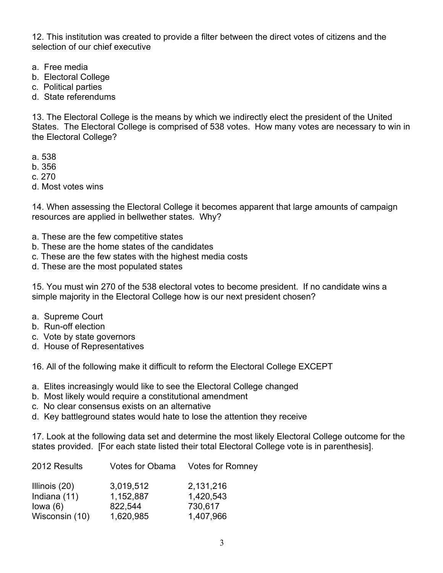12. This institution was created to provide a filter between the direct votes of citizens and the selection of our chief executive

- a. Free media
- b. Electoral College
- c. Political parties
- d. State referendums

13. The Electoral College is the means by which we indirectly elect the president of the United States. The Electoral College is comprised of 538 votes. How many votes are necessary to win in the Electoral College?

- a. 538
- b. 356
- c. 270
- d. Most votes wins

14. When assessing the Electoral College it becomes apparent that large amounts of campaign resources are applied in bellwether states. Why?

- a. These are the few competitive states
- b. These are the home states of the candidates
- c. These are the few states with the highest media costs
- d. These are the most populated states

15. You must win 270 of the 538 electoral votes to become president. If no candidate wins a simple majority in the Electoral College how is our next president chosen?

- a. Supreme Court
- b. Run-off election
- c. Vote by state governors
- d. House of Representatives

16. All of the following make it difficult to reform the Electoral College EXCEPT

- a. Elites increasingly would like to see the Electoral College changed
- b. Most likely would require a constitutional amendment
- c. No clear consensus exists on an alternative
- d. Key battleground states would hate to lose the attention they receive

17. Look at the following data set and determine the most likely Electoral College outcome for the states provided. [For each state listed their total Electoral College vote is in parenthesis].

| 2012 Results   |           | Votes for Obama Votes for Romney |
|----------------|-----------|----------------------------------|
| Illinois (20)  | 3,019,512 | 2,131,216                        |
| Indiana (11)   | 1,152,887 | 1,420,543                        |
| lowa $(6)$     | 822,544   | 730,617                          |
| Wisconsin (10) | 1,620,985 | 1,407,966                        |